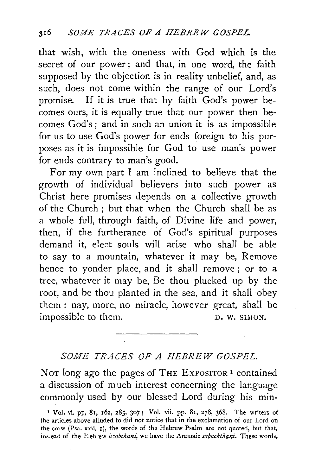that wish, with the oneness with God which is the secret of our power; and that, in one word, the faith supposed by the objection is in reality unbelief, and, as such, does not come within the range of our Lord's promise. If it is true that by faith God's power becomes ours, it is equally true that our power then becomes God's; and in such an union it is as impossible for us to use God's power for ends foreign to his purposes as it is impossible for God to use man's power for ends contrary to man's good.

For my own part I am inclined to believe that the growth of individual believers into such power as Christ here promises depends on a collective growth of the Church; but that when the Church shall be as a whole full, through faith, of Divine life and power, then, if the furtherance of God's spiritual purposes demand it, elect souls will arise who shall be able to say to a mountain, whatever it may be, Remove hence to yonder place, and it shall remove ; or to a tree, whatever it may be, Be thou plucked up by the root, and be thou planted in the sea, and it shall obey them : nay, more, no miracle, however great, shall be impossible to them. D. W. SIMON.

## *SOME TRACES OF A HEBREW GOSPEL.*

Not long ago the pages of THE EXPOSITOR<sup>1</sup> contained a discussion of much interest concerning the language commonly used by our blessed Lord during his min-

<sup>1</sup>Vol. vi. pp, Sr, 161, 285, 307; Vol. vii. pp. SI, 278, 368. The wr;ters of the articles above alluded to did not notice that in the exclamation of our Lord on the cross (Psa. xxii. I), the words of the Hebrew Psalm are not quoted, but that, ins.ead of the Hebrew *uzabthani*, we have the Aramaic *sabachthani*. These words,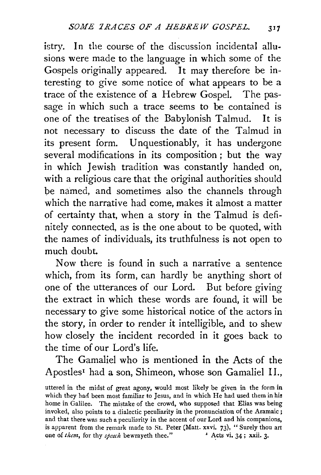istry. In the course of the discussion incidental allu· sions were made to the language in which some of the Gospels originally appeared. It may therefore be interesting to give some notice of what appears to be a trace of the existence of a Hebrew Gospel. The passage in which such a trace seems to be contained is one of the treatises of the Babylonish Talmud. It is not necessary to discuss the date of the Talmud in its present form. Unquestionably, it has undergone several modifications in its composition ; but the way in which Jewish tradition was constantly handed on, with a religious care that the original authorities should be named, and sometimes also the channels through which the narrative had come, makes it almost a matter of certainty that, when a story in the Talmud is definitely connected, as is the one about to be quoted, with the names of individuals, its truthfulness is not open to much doubt.

Now there is found in such a narrative a sentence which, from its form, can hardly be anything short of one of the utterances of our Lord. But before giving the extract in which these words are found, it will be necessary to give some historical notice of the actors in the story, in order to render it intelligible, and to shew how closely the incident recorded in it goes back to the time of our Lord's life.

The Gamaliel who is mentioned in the Acts of the Apostles<sup>1</sup> had a son, Shimeon, whose son Gamaliel II.,

uttered in the midst of great agony, would most likely be given in the form in which they had been most familiar to Jesus, and in which He had used them in his home in Galilee. The mistake of the crowd, who supposed that Elias was being invoked, also points to a dialectic peculiarity in the pronunciation of the Aramaic ; and that there was such a peculiarity in the accent of our Lord and his companions, is apparent from the remark made to St. Peter (Matt. xxvi. 73), "Surely thou art one of *them*, for thy *speech* bewrayeth thee." Acts vi. 34; xxii. 3. one of *them*, for thy *speech* bewrayeth thee."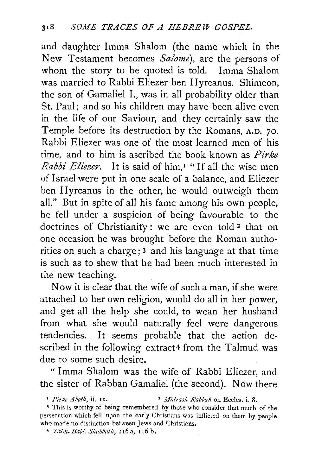and daughter Imma Shalom (the name which in the New Testament becomes *Salome),* are the persons of whom the story to be quoted is told. Imma Shalom was married to Rabbi Eliezer ben Hyrcanus. Shimeon, the son of Gamaliel 1., was in all probability older than St. Paul; and so his children may have been alive even in the life of our Saviour, and they certainly saw the Temple before its destruction by the Romans, A.D. 70. Rabbi Eliezer was one of the most learned men of his time, and to him is ascribed the book known as *Pirke Rabbi Eliezer.* It is said of him,<sup>1</sup> "If all the wise men of Israel were put in one scale of a balance, and Eliezer ben Hyrcanus in the other, he would outweigh them all." But in spite of all his fame among his own people, he fell under a suspicion of being favourable to the doctrines of Christianity: we are even told<sup>2</sup> that on one occasion he was brought before the Roman authorities on such a charge; 3 and his language at that time is such as to shew that he had been much interested in the new teaching.

Now it is clear that the wife of such a man, if she were attached *to* her own religion, would do all in her power, and get all the help she could, *to* wean her husband from what she would naturally feel were dangerous tendencies. It seems probable that the action described in the following extract4 from the Talmud was due to some such desire.

" Imma Shalom was the wife of Rabbi Eliezer, and the sister of Rabban Gamaliel (the second). Now there

• *Pirke A both,* ii. II. • *Midwsh Rabbah* on Eccles. i. 8.

<sup>3</sup> This is worthy of being remembered by those who consider that much of the persecution which fell upon the early Christians was inflicted on them by people who made no distinction between Jews and Christians.

• *Talm. Bab!. Shabbath,* 116 a, 116 b.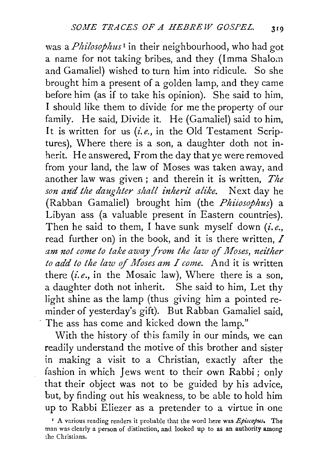was *aPhilosophus <sup>1</sup>*in their neighbourhood, who had got a name for not taking bribes, and they (Imma Shaloin and Gamaliel) wished to turn him into ridicule. So she brought him a present of a golden lamp, and they came before him (as if to take his opinion). She said to him, I should like them to divide for me the property of our family. He said, Divide it. He (Gamaliel) said to him, It is written for us *(i.e.,* in the Old Testament Scriptures), Where there is a son, a daughter doth not inherit. He answered, From the day that ye were removed from your land, the law of Moses was taken away, and another law was given; and therein it is written, *The son and the daughter shall inherit alike.* Next day he (Rabban Gamaliel) brought him (the *Phiiosophus)* a Libyan ass (a valuable present in Eastern countries). Then he said to them, I have sunk myself down *(i.e.,*  read further on) in the book, and it is there written, I am not come to take away from the law of Moses, neither *to add to the law of Moses am I come.* And it is written there *(i.e.*, in the Mosaic law), Where there is a son, a daughter doth not inherit. She said to him, Let thy light shine as the lamp (thus giving him a pointed reminder of yesterday's gift). But Rabban Gamaliel said, · The ass has come and kicked down the lamp."

With the history of this family in our minds, we can readily understand the motive of this brother and sister in making a visit to a Christian, exactly after the fashion in which Jews went to their own Rabbi ; only that their object was not to be guided by his advice, but, by finding out his weakness, to be able to hold him up to Rabbi Eliezer as a pretender to a virtue in one

<sup>&#</sup>x27; A various reading renders it probable that the word here was *Episcopus,* The man was clearly a person of distinction, and looked up to as an authority among the Christians.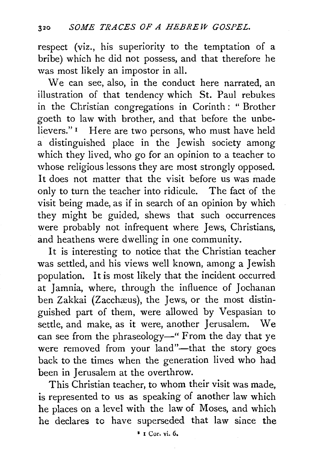respect (viz., his superiority to the temptation of a bribe) which he did not possess, and that therefore he was most likely an impostor in all.

We can see, also, in the conduct here narrated, an illustration of that tendency which St. Paul rebukes in the Christian congregations in Corinth : " Brother goeth to law with brother, and that before the unbe-<br>lievers."<sup>1</sup> Here are two persons, who must have held Here are two persons, who must have held a distinguished place in the Jewish society among which they lived, who go for an opinion to a teacher to whose religious lessons they are most strongly opposed. It does not matter that the visit before us was made only to turn the teacher into ridicule. The fact of the visit being made, as if in search of an opinion by which they might be guided, shews that such occurrences were probably not infrequent where Jews, Christians, and heathens were dwelling in one community.

It is interesting to notice that the Christian teacher was settled, and his views well known, among a Jewish population. It is most likely that the incident occurred at Jamnia, where, through the influence of Jochanan ben Zakkai (Zacchæus), the Jews, or the most distinguished part of them, were allowed by Vespasian to settle, and make, as it were, another Jerusalem. We can see from the phraseology-" From the day that ye were removed from your land"-that the story goes back to the times when the generation lived who had been in Jerusalem at the overthrow.

This Christian teacher, to whom their visit was made, is represented to us as speaking of another law which he places on a level with the law of Moses, and which he declares to have superseded that law since the

• 1 Cor. vi. 6.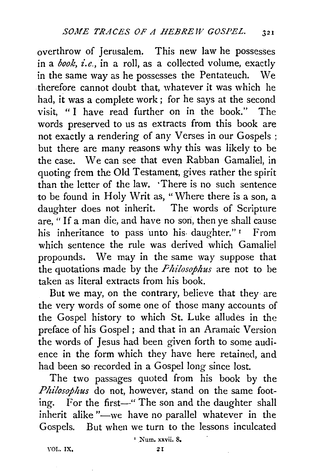overthrow of Jerusalem. This new law he possesses in a *book, i.e.,* in a roll, as a collected volume, exactly in the same way as he possesses the Pentateuch. We therefore cannot doubt that, whatever it was which he had, it was a complete work ; for he says at the second visit, "I have read further on in the book." The words preserved to us as extracts from this book are not exactly a rendering of any Verses in our Gospels ; but there are many reasons why this was likely to be the case. We can see that even Rabban Gamaliel, in quoting from the Old Testament, gives rather the spirit than the letter of the law. ·There is no such sentence to be found in Holy Writ as, "Where there is a son, a daughter does not inherit. The words of Scripture are, "If a man die, and have no son, then ye shall cause his inheritance to pass unto his daughter."<sup>1</sup> From which sentence the rule was derived which Gamaliel propounds. We may in the same way suppose that the quotations made by the *Fhilosophus* are not to be taken as literal extracts from his book.

But we may, on the contrary, believe that they are the very words of some one of those many accounts of the Gospel history to which St. Luke alludes in the preface of his Gospel ; and that in an Aramaic Version the words of Jesus had been given forth to some audience in the form which they have here retained, and had been so recorded in a Gospel long since lost.

The two passages quoted from his book by the *Philosophus* do not, however, stand on the same footing. For the first—" The son and the daughter shall inherit alike "-we have no parallel whatever in the Gospels. But when we turn to the lessons inculcated

YOL. lX,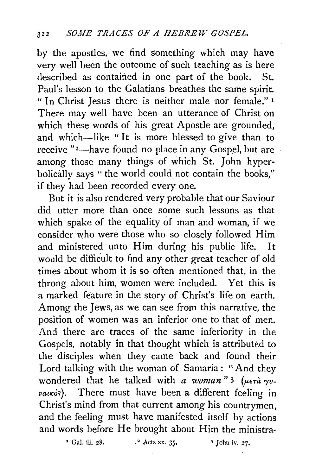by the apostles, we find something which may have very well been the outcome of such teaching as is here described as contained in one part of the book. St. Paul's lesson to the Galatians breathes the same spirit. " In Christ Jesus there is neither male nor female." <sup>1</sup> There may well have been an utterance of Christ on which these words of his great Apostle are grounded, and which-like "It is more blessed to give than to receive "<sup>2</sup>-have found no place in any Gospel, but are among. those many things of which St. John hyperbolically says "the world could not contain the books," if they had been recorded every one.

But it is also rendered very probable that our Saviour did utter more than once some such lessons as that which spake of the equality of man and woman, if we consider who were those who so closely followed Him and ministered unto Him during his public life. It would be difficult to find any other great teacher of old times about whom it is so often mentioned that, in the throng about him, women were included. Yet this is a marked feature in the story of Christ's life on earth. Among the Jews, as we can see from this narrative, the position of women was an inferior one to that of men. And there are traces of the same inferiority in the Gospels, notably in that thought which is attributed to the disciples when they came back and found their Lord talking with the woman of Samaria : "And they wondered that he talked with *a woman*" 3 ( $\mu$ <sub>ET</sub>à  $\gamma$ vvauxós). There must have been a different feeling in Christ's mind from that current among his countrymen, and the feeling must have manifested itself by actions and words before He brought about Him the ministra-

<sup>1</sup> Gal. iii. 28, <sup>2</sup> Acts xx. 35, <sup>3</sup> John iv. 27.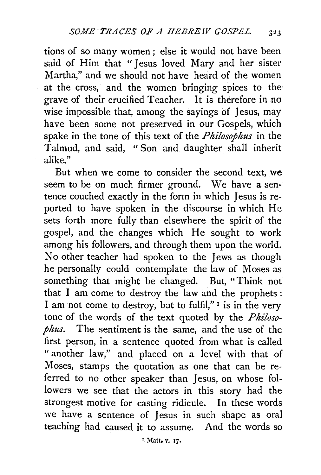tions of so many women ; else it would not have been said of Him that "Jesus loved Mary and her sister Martha," and we should not have heard of the women at the cross, and the women bringing spices to the grave of their crucified Teacher. It is therefore in no wise impossible that, among the sayings of Jesus, may have been some not preserved in our Gospels, which spake in the tone of this text of the *Philosophus* in the Talmud, and said, "Son and daughter shall inherit alike."

But when we come to consider the second text, we seem to be on much firmer ground. We have a sen· tence couched exactly in the form in which Jesus is reported to have spoken in the discourse in which He sets forth more fully than elsewhere the spirit of the gospel, and the changes which He sought to work among his followers, and through them upon the world. No other teacher had spoken to the Jews as though he personally could contemplate the law of Moses as something that might be changed. But, "Think not that I am come to destroy the law and the prophets : I am not come to destroy, but to fulfil,"  $\frac{1}{1}$  is in the very tone of the words of the text quoted by the *Philosophus.* The sentiment is the same, and the use of the first person, in a sentence quoted from what is called " another law," and placed on a level with that of Moses, stamps the quotation as one that can be referred to no other speaker than Jesus, on whose followers we see that the actors in this story had the strongest motive for casting ridicule. In these words we have a sentence of Jesus in such shape as oral teaching had caused it to assume. And the words so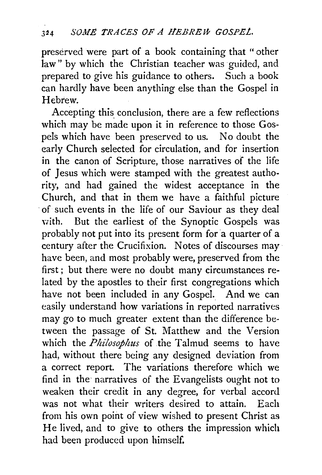preserved were part of a book containing that " other law" by which the Christian teacher was guided, and prepared to give his guidance to others. Such a book can hardly have been anything else than the Gospel in Hebrew.

Accepting this conclusion, there are a few reflections which may be made upon it in reference to those Gospels which have been preserved to us. No doubt the early Church selected for circulation, and for insertion in the canon of Scripture, those narratives of the life of Jesus which were stamped with the greatest authority, and had gained the widest acceptance in the Church, and that in them we have a faithful picture of such events in the life of our Saviour as they deal with. But the earliest of the Synoptic Gospels was probably not put into its present form for a quarter of a century after the Crucifixion. Notes of discourses may have been, and most probably were, preserved from the first ; but there were no doubt many circumstances related by the apostles to their first congregations which have not been included in any Gospel. And we can easily understand how variations in reported narratives may go to much greater extent than the difference between the passage of St. Matthew and the Version which the *Philosophus* of the Talmud seems to have had, without there being any designed deviation from a correct report. The variations therefore which we find in the narratives of the Evangelists ought not to weaken their credit in any degree, for verbal accord was not what their writers desired to attain. Each from his own point of view wished to present Christ as He lived, and to give to others the impression which had been produced upon himself.